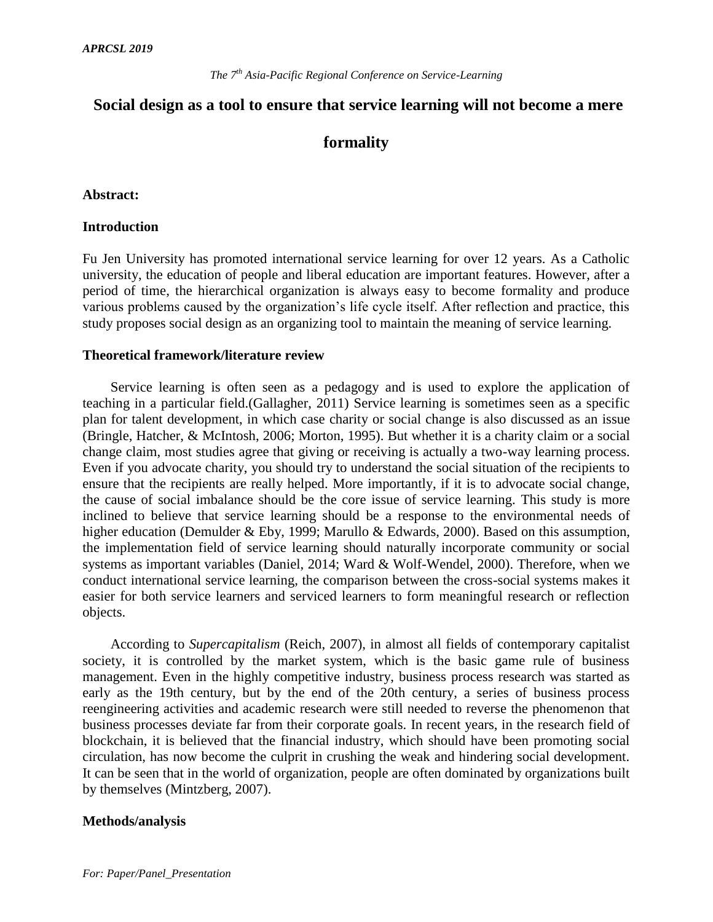# **Social design as a tool to ensure that service learning will not become a mere**

## **formality**

## **Abstract:**

## **Introduction**

Fu Jen University has promoted international service learning for over 12 years. As a Catholic university, the education of people and liberal education are important features. However, after a period of time, the hierarchical organization is always easy to become formality and produce various problems caused by the organization's life cycle itself. After reflection and practice, this study proposes social design as an organizing tool to maintain the meaning of service learning.

### **Theoretical framework/literature review**

Service learning is often seen as a pedagogy and is used to explore the application of teaching in a particular field.(Gallagher, 2011) Service learning is sometimes seen as a specific plan for talent development, in which case charity or social change is also discussed as an issue (Bringle, Hatcher, & McIntosh, 2006; Morton, 1995). But whether it is a charity claim or a social change claim, most studies agree that giving or receiving is actually a two-way learning process. Even if you advocate charity, you should try to understand the social situation of the recipients to ensure that the recipients are really helped. More importantly, if it is to advocate social change, the cause of social imbalance should be the core issue of service learning. This study is more inclined to believe that service learning should be a response to the environmental needs of higher education (Demulder & Eby, 1999; Marullo & Edwards, 2000). Based on this assumption, the implementation field of service learning should naturally incorporate community or social systems as important variables (Daniel, 2014; Ward & Wolf-Wendel, 2000). Therefore, when we conduct international service learning, the comparison between the cross-social systems makes it easier for both service learners and serviced learners to form meaningful research or reflection objects.

According to *Supercapitalism* (Reich, 2007), in almost all fields of contemporary capitalist society, it is controlled by the market system, which is the basic game rule of business management. Even in the highly competitive industry, business process research was started as early as the 19th century, but by the end of the 20th century, a series of business process reengineering activities and academic research were still needed to reverse the phenomenon that business processes deviate far from their corporate goals. In recent years, in the research field of blockchain, it is believed that the financial industry, which should have been promoting social circulation, has now become the culprit in crushing the weak and hindering social development. It can be seen that in the world of organization, people are often dominated by organizations built by themselves (Mintzberg, 2007).

## **Methods/analysis**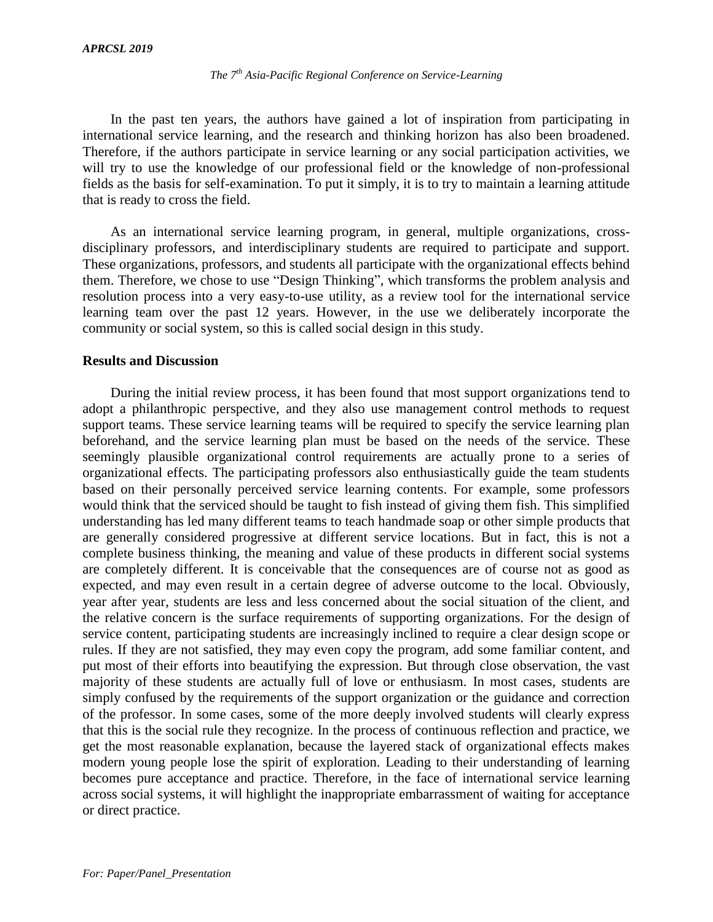In the past ten years, the authors have gained a lot of inspiration from participating in international service learning, and the research and thinking horizon has also been broadened. Therefore, if the authors participate in service learning or any social participation activities, we will try to use the knowledge of our professional field or the knowledge of non-professional fields as the basis for self-examination. To put it simply, it is to try to maintain a learning attitude that is ready to cross the field.

As an international service learning program, in general, multiple organizations, crossdisciplinary professors, and interdisciplinary students are required to participate and support. These organizations, professors, and students all participate with the organizational effects behind them. Therefore, we chose to use "Design Thinking", which transforms the problem analysis and resolution process into a very easy-to-use utility, as a review tool for the international service learning team over the past 12 years. However, in the use we deliberately incorporate the community or social system, so this is called social design in this study.

#### **Results and Discussion**

During the initial review process, it has been found that most support organizations tend to adopt a philanthropic perspective, and they also use management control methods to request support teams. These service learning teams will be required to specify the service learning plan beforehand, and the service learning plan must be based on the needs of the service. These seemingly plausible organizational control requirements are actually prone to a series of organizational effects. The participating professors also enthusiastically guide the team students based on their personally perceived service learning contents. For example, some professors would think that the serviced should be taught to fish instead of giving them fish. This simplified understanding has led many different teams to teach handmade soap or other simple products that are generally considered progressive at different service locations. But in fact, this is not a complete business thinking, the meaning and value of these products in different social systems are completely different. It is conceivable that the consequences are of course not as good as expected, and may even result in a certain degree of adverse outcome to the local. Obviously, year after year, students are less and less concerned about the social situation of the client, and the relative concern is the surface requirements of supporting organizations. For the design of service content, participating students are increasingly inclined to require a clear design scope or rules. If they are not satisfied, they may even copy the program, add some familiar content, and put most of their efforts into beautifying the expression. But through close observation, the vast majority of these students are actually full of love or enthusiasm. In most cases, students are simply confused by the requirements of the support organization or the guidance and correction of the professor. In some cases, some of the more deeply involved students will clearly express that this is the social rule they recognize. In the process of continuous reflection and practice, we get the most reasonable explanation, because the layered stack of organizational effects makes modern young people lose the spirit of exploration. Leading to their understanding of learning becomes pure acceptance and practice. Therefore, in the face of international service learning across social systems, it will highlight the inappropriate embarrassment of waiting for acceptance or direct practice.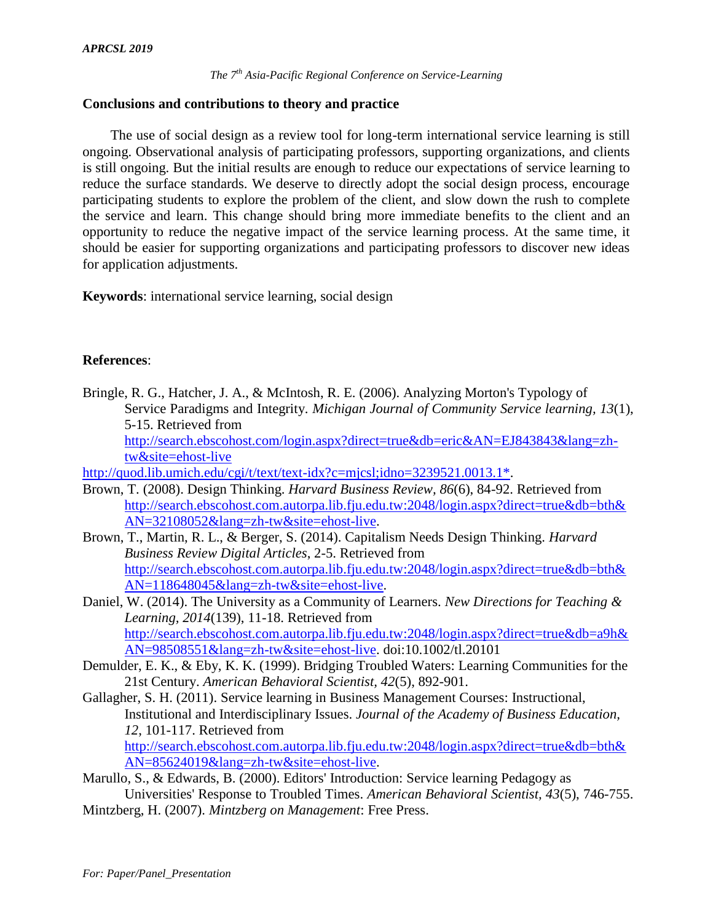## **Conclusions and contributions to theory and practice**

The use of social design as a review tool for long-term international service learning is still ongoing. Observational analysis of participating professors, supporting organizations, and clients is still ongoing. But the initial results are enough to reduce our expectations of service learning to reduce the surface standards. We deserve to directly adopt the social design process, encourage participating students to explore the problem of the client, and slow down the rush to complete the service and learn. This change should bring more immediate benefits to the client and an opportunity to reduce the negative impact of the service learning process. At the same time, it should be easier for supporting organizations and participating professors to discover new ideas for application adjustments.

**Keywords**: international service learning, social design

## **References**:

Bringle, R. G., Hatcher, J. A., & McIntosh, R. E. (2006). Analyzing Morton's Typology of Service Paradigms and Integrity. *Michigan Journal of Community Service learning, 13*(1), 5-15. Retrieved from

[http://search.ebscohost.com/login.aspx?direct=true&db=eric&AN=EJ843843&lang=zh](http://search.ebscohost.com/login.aspx?direct=true&db=eric&AN=EJ843843&lang=zh-tw&site=ehost-live)[tw&site=ehost-live](http://search.ebscohost.com/login.aspx?direct=true&db=eric&AN=EJ843843&lang=zh-tw&site=ehost-live)

[http://quod.lib.umich.edu/cgi/t/text/text-idx?c=mjcsl;idno=3239521.0013.1\\*.](http://quod.lib.umich.edu/cgi/t/text/text-idx?c=mjcsl;idno=3239521.0013.1*)

- Brown, T. (2008). Design Thinking. *Harvard Business Review, 86*(6), 84-92. Retrieved from [http://search.ebscohost.com.autorpa.lib.fju.edu.tw:2048/login.aspx?direct=true&db=bth&](http://search.ebscohost.com.autorpa.lib.fju.edu.tw:2048/login.aspx?direct=true&db=bth&AN=32108052&lang=zh-tw&site=ehost-live) [AN=32108052&lang=zh-tw&site=ehost-live.](http://search.ebscohost.com.autorpa.lib.fju.edu.tw:2048/login.aspx?direct=true&db=bth&AN=32108052&lang=zh-tw&site=ehost-live)
- Brown, T., Martin, R. L., & Berger, S. (2014). Capitalism Needs Design Thinking. *Harvard Business Review Digital Articles*, 2-5. Retrieved from [http://search.ebscohost.com.autorpa.lib.fju.edu.tw:2048/login.aspx?direct=true&db=bth&](http://search.ebscohost.com.autorpa.lib.fju.edu.tw:2048/login.aspx?direct=true&db=bth&AN=118648045&lang=zh-tw&site=ehost-live) [AN=118648045&lang=zh-tw&site=ehost-live.](http://search.ebscohost.com.autorpa.lib.fju.edu.tw:2048/login.aspx?direct=true&db=bth&AN=118648045&lang=zh-tw&site=ehost-live)
- Daniel, W. (2014). The University as a Community of Learners. *New Directions for Teaching & Learning, 2014*(139), 11-18. Retrieved from [http://search.ebscohost.com.autorpa.lib.fju.edu.tw:2048/login.aspx?direct=true&db=a9h&](http://search.ebscohost.com.autorpa.lib.fju.edu.tw:2048/login.aspx?direct=true&db=a9h&AN=98508551&lang=zh-tw&site=ehost-live) [AN=98508551&lang=zh-tw&site=ehost-live.](http://search.ebscohost.com.autorpa.lib.fju.edu.tw:2048/login.aspx?direct=true&db=a9h&AN=98508551&lang=zh-tw&site=ehost-live) doi:10.1002/tl.20101
- Demulder, E. K., & Eby, K. K. (1999). Bridging Troubled Waters: Learning Communities for the 21st Century. *American Behavioral Scientist, 42*(5), 892-901.
- Gallagher, S. H. (2011). Service learning in Business Management Courses: Instructional, Institutional and Interdisciplinary Issues. *Journal of the Academy of Business Education, 12*, 101-117. Retrieved from [http://search.ebscohost.com.autorpa.lib.fju.edu.tw:2048/login.aspx?direct=true&db=bth&](http://search.ebscohost.com.autorpa.lib.fju.edu.tw:2048/login.aspx?direct=true&db=bth&AN=85624019&lang=zh-tw&site=ehost-live)

[AN=85624019&lang=zh-tw&site=ehost-live.](http://search.ebscohost.com.autorpa.lib.fju.edu.tw:2048/login.aspx?direct=true&db=bth&AN=85624019&lang=zh-tw&site=ehost-live) Marullo, S., & Edwards, B. (2000). Editors' Introduction: Service learning Pedagogy as Universities' Response to Troubled Times. *American Behavioral Scientist, 43*(5), 746-755.

Mintzberg, H. (2007). *Mintzberg on Management*: Free Press.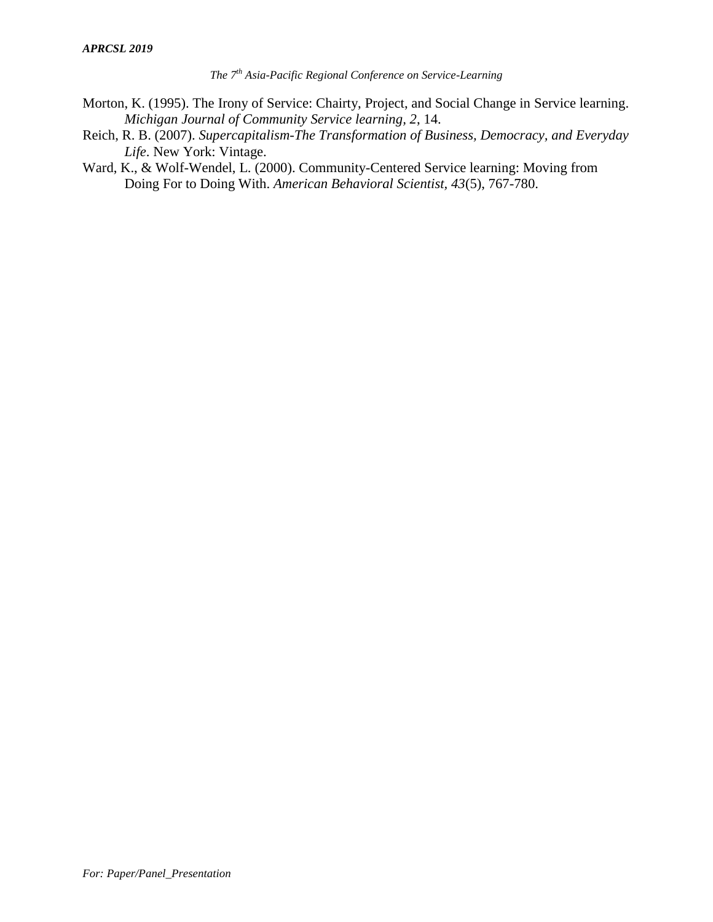- Morton, K. (1995). The Irony of Service: Chairty, Project, and Social Change in Service learning. *Michigan Journal of Community Service learning, 2*, 14.
- Reich, R. B. (2007). *Supercapitalism-The Transformation of Business, Democracy, and Everyday Life*. New York: Vintage.
- Ward, K., & Wolf-Wendel, L. (2000). Community-Centered Service learning: Moving from Doing For to Doing With. *American Behavioral Scientist, 43*(5), 767-780.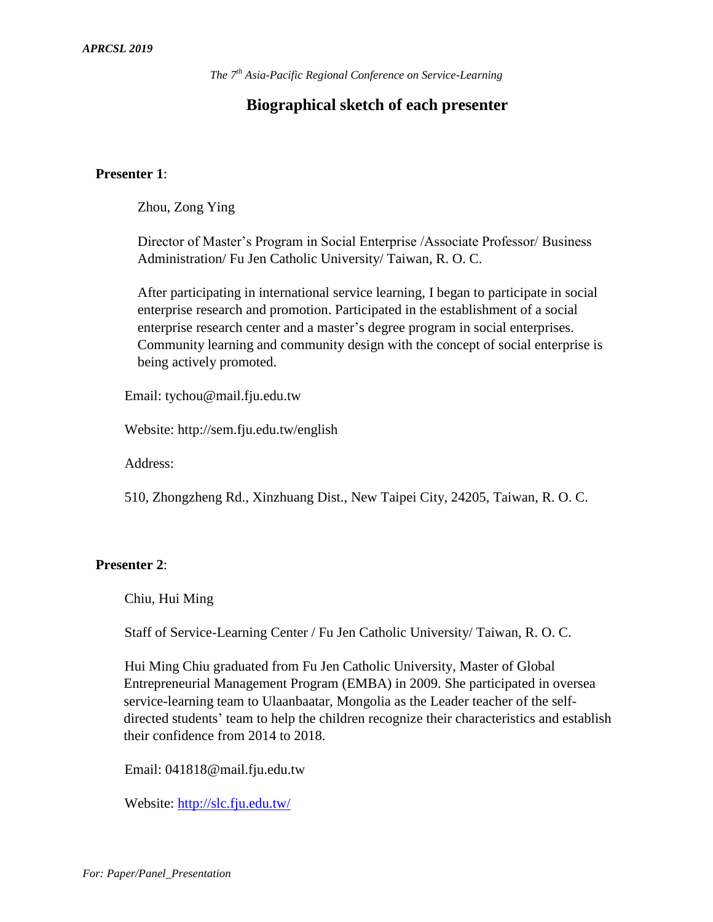## **Biographical sketch of each presenter**

#### **Presenter 1**:

Zhou, Zong Ying

Director of Master's Program in Social Enterprise /Associate Professor/ Business Administration/ Fu Jen Catholic University/ Taiwan, R. O. C.

After participating in international service learning, I began to participate in social enterprise research and promotion. Participated in the establishment of a social enterprise research center and a master's degree program in social enterprises. Community learning and community design with the concept of social enterprise is being actively promoted.

Email: tychou@mail.fju.edu.tw

Website: http://sem.fju.edu.tw/english

Address:

510, Zhongzheng Rd., Xinzhuang Dist., New Taipei City, 24205, Taiwan, R. O. C.

## **Presenter 2**:

Chiu, Hui Ming

Staff of Service-Learning Center / Fu Jen Catholic University/ Taiwan, R. O. C.

Hui Ming Chiu graduated from Fu Jen Catholic University, [Master of Global](http://www.management.fju.edu.tw/esubweb/gembaeng/subindex.php)  [Entrepreneurial Management Program](http://www.management.fju.edu.tw/esubweb/gembaeng/subindex.php) (EMBA) in 2009. She participated in oversea service-learning team to Ulaanbaatar, Mongolia as the Leader teacher of the selfdirected students' team to help the children recognize their characteristics and establish their confidence from 2014 to 2018.

Email: 041818@mail.fju.edu.tw

Website: [http://slc.fju.edu.tw/](http://140.136.251.140/SLC/#&panel1-1)